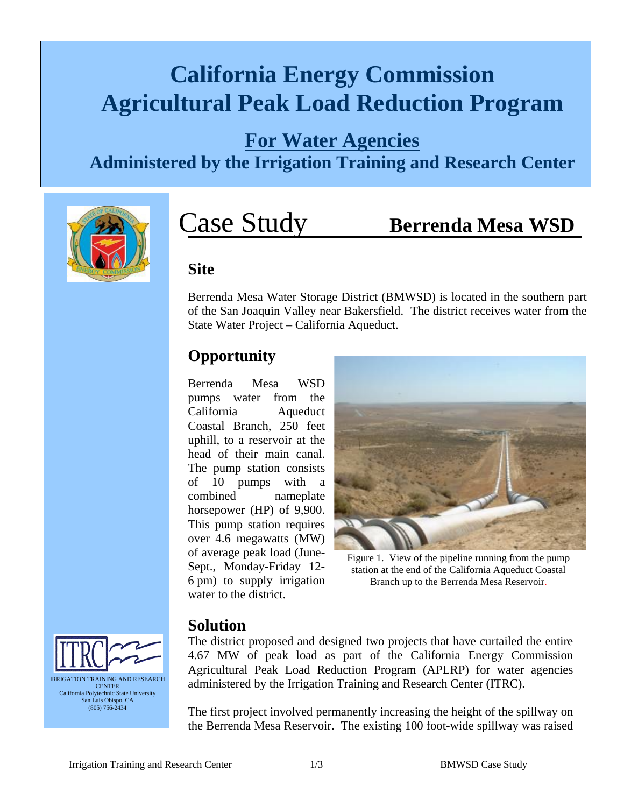## **California Energy Commission Agricultural Peak Load Reduction Program**

#### **For Water Agencies**

**Administered by the Irrigation Training and Research Center**



# Case Study **Berrenda Mesa WSD**

#### **Site**

Berrenda Mesa Water Storage District (BMWSD) is located in the southern part of the San Joaquin Valley near Bakersfield. The district receives water from the State Water Project – California Aqueduct.

#### **Opportunity**

Berrenda Mesa WSD pumps water from the California Aqueduct Coastal Branch, 250 feet uphill, to a reservoir at the head of their main canal. The pump station consists of 10 pumps with a combined nameplate horsepower (HP) of 9,900. This pump station requires over 4.6 megawatts (MW) of average peak load (June-Sept., Monday-Friday 12- 6 pm) to supply irrigation water to the district.



Figure 1. View of the pipeline running from the pump station at the end of the California Aqueduct Coastal Branch up to the Berrenda Mesa Reservoir.

#### **Solution**

The district proposed and designed two projects that have curtailed the entire 4.67 MW of peak load as part of the California Energy Commission Agricultural Peak Load Reduction Program (APLRP) for water agencies administered by the Irrigation Training and Research Center (ITRC).

The first project involved permanently increasing the height of the spillway on the Berrenda Mesa Reservoir. The existing 100 foot-wide spillway was raised

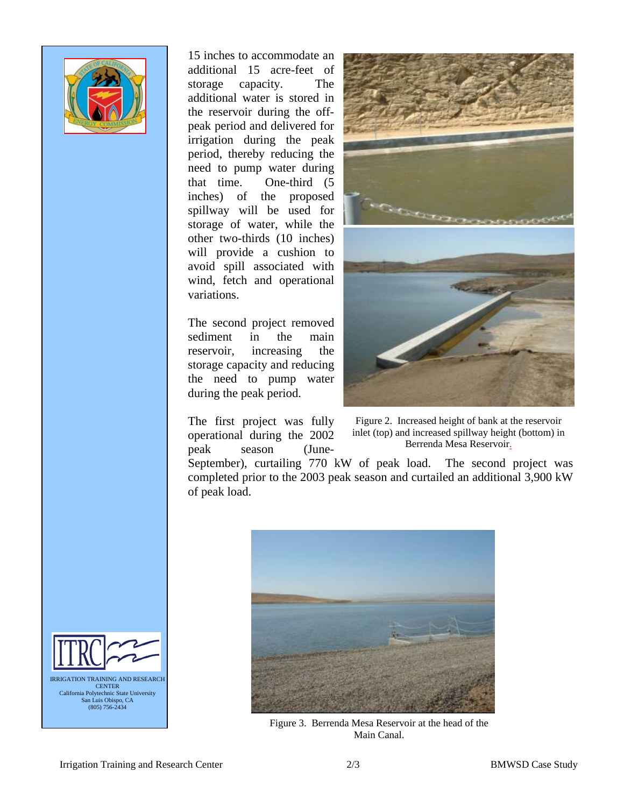

15 inches to accommodate an additional 15 acre-feet of storage capacity. The additional water is stored in the reservoir during the offpeak period and delivered for irrigation during the peak period, thereby reducing the need to pump water during that time. One-third (5 inches) of the proposed spillway will be used for storage of water, while the other two-thirds (10 inches) will provide a cushion to avoid spill associated with wind, fetch and operational variations.

The second project removed sediment in the main reservoir, increasing the storage capacity and reducing the need to pump water during the peak period.

The first project was fully operational during the 2002 peak season (June-



Figure 2. Increased height of bank at the reservoir inlet (top) and increased spillway height (bottom) in Berrenda Mesa Reservoir.

September), curtailing 770 kW of peak load. The second project was completed prior to the 2003 peak season and curtailed an additional 3,900 kW of peak load.



Figure 3. Berrenda Mesa Reservoir at the head of the Main Canal.